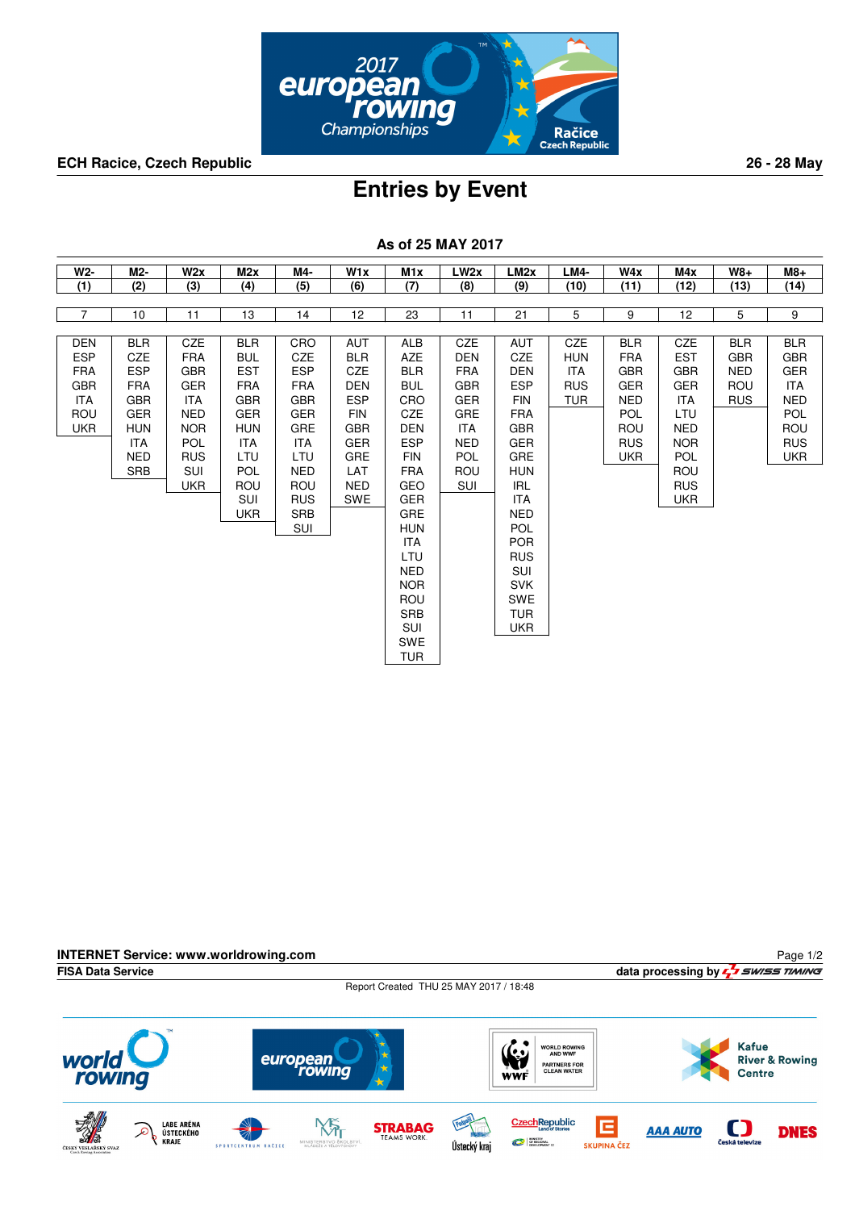

**ECH Racice, Czech Republic 26 - 28 May**

## **Entries by Event**

| W2-            | M2-        | W2x        | M2x        | M4-        | W1x        | M <sub>1x</sub>          | LW <sub>2x</sub> | LM <sub>2x</sub>  | <b>LM4-</b> | W4x        | M4x        | <b>W8+</b> | $M8+$      |
|----------------|------------|------------|------------|------------|------------|--------------------------|------------------|-------------------|-------------|------------|------------|------------|------------|
| (1)            | (2)        | (3)        | (4)        | (5)        | (6)        | (7)                      | (8)              | (9)               | (10)        | (11)       | (12)       | (13)       | (14)       |
|                |            |            |            |            |            |                          |                  |                   |             |            |            |            |            |
| $\overline{7}$ | 10         | 11         | 13         | 14         | 12         | 23                       | 11               | 21                | 5           | 9          | 12         | 5          | 9          |
|                |            |            |            |            |            |                          |                  |                   |             |            |            |            |            |
| <b>DEN</b>     | <b>BLR</b> | <b>CZE</b> | <b>BLR</b> | CRO        | AUT        | <b>ALB</b>               | <b>CZE</b>       | <b>AUT</b>        | <b>CZE</b>  | <b>BLR</b> | CZE        | <b>BLR</b> | <b>BLR</b> |
| <b>ESP</b>     | <b>CZE</b> | <b>FRA</b> | <b>BUL</b> | <b>CZE</b> | <b>BLR</b> | <b>AZE</b>               | <b>DEN</b>       | <b>CZE</b>        | <b>HUN</b>  | <b>FRA</b> | <b>EST</b> | <b>GBR</b> | <b>GBR</b> |
| <b>FRA</b>     | <b>ESP</b> | <b>GBR</b> | <b>EST</b> | <b>ESP</b> | <b>CZE</b> | <b>BLR</b>               | <b>FRA</b>       | DEN               | <b>ITA</b>  | <b>GBR</b> | <b>GBR</b> | <b>NED</b> | GER        |
| <b>GBR</b>     | <b>FRA</b> | GER        | <b>FRA</b> | <b>FRA</b> | <b>DEN</b> | <b>BUL</b>               | <b>GBR</b>       | <b>ESP</b>        | <b>RUS</b>  | <b>GER</b> | <b>GER</b> | ROU        | <b>ITA</b> |
| <b>ITA</b>     | <b>GBR</b> | <b>ITA</b> | <b>GBR</b> | <b>GBR</b> | <b>ESP</b> | CRO                      | <b>GER</b>       | <b>FIN</b>        | <b>TUR</b>  | <b>NED</b> | ITA        | <b>RUS</b> | <b>NED</b> |
| ROU            | <b>GER</b> | <b>NED</b> | <b>GER</b> | <b>GER</b> | <b>FIN</b> | <b>CZE</b>               | <b>GRE</b>       | <b>FRA</b>        |             | POL        | LTU        |            | <b>POL</b> |
| <b>UKR</b>     | <b>HUN</b> | <b>NOR</b> | <b>HUN</b> | <b>GRE</b> | <b>GBR</b> | <b>DEN</b>               | <b>ITA</b>       | <b>GBR</b>        |             | ROU        | <b>NED</b> |            | ROU        |
|                | ITA        | POL        | ITA        | <b>ITA</b> | GER        | <b>ESP</b>               | <b>NED</b>       | GER               |             | <b>RUS</b> | <b>NOR</b> |            | <b>RUS</b> |
|                | <b>NED</b> | <b>RUS</b> | LTU        | LTU        | GRE        | <b>FIN</b>               | <b>POL</b>       | GRE               |             | <b>UKR</b> | <b>POL</b> |            | <b>UKR</b> |
|                | <b>SRB</b> | SUI        | <b>POL</b> | <b>NED</b> | LAT        | <b>FRA</b>               | ROU              | <b>HUN</b>        |             |            | ROU        |            |            |
|                |            | <b>UKR</b> | ROU        | <b>ROU</b> | <b>NED</b> | <b>GEO</b>               | SUI              | IRL               |             |            | <b>RUS</b> |            |            |
|                |            |            | <b>SUI</b> | <b>RUS</b> | <b>SWE</b> | <b>GER</b>               |                  | ITA               |             |            | <b>UKR</b> |            |            |
|                |            |            | <b>UKR</b> | <b>SRB</b> |            | GRE                      |                  | <b>NED</b>        |             |            |            |            |            |
|                |            |            |            | <b>SUI</b> |            | <b>HUN</b>               |                  | <b>POL</b>        |             |            |            |            |            |
|                |            |            |            |            |            | ITA                      |                  | <b>POR</b>        |             |            |            |            |            |
|                |            |            |            |            |            | LTU                      |                  | <b>RUS</b>        |             |            |            |            |            |
|                |            |            |            |            |            | <b>NED</b><br><b>NOR</b> |                  | SUI<br><b>SVK</b> |             |            |            |            |            |
|                |            |            |            |            |            | ROU                      |                  | <b>SWE</b>        |             |            |            |            |            |
|                |            |            |            |            |            | SRB                      |                  | <b>TUR</b>        |             |            |            |            |            |
|                |            |            |            |            |            | SUI                      |                  | <b>UKR</b>        |             |            |            |            |            |
|                |            |            |            |            |            | SWE                      |                  |                   |             |            |            |            |            |
|                |            |            |            |            |            | <b>TUR</b>               |                  |                   |             |            |            |            |            |

**As of 25 MAY 2017**